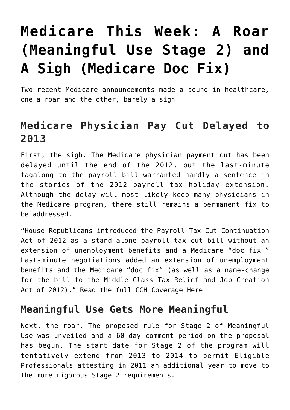## **[Medicare This Week: A Roar](https://managemypractice.com/medicare-this-week-a-roar-meaningful-use-stage-2-and-a-sigh-medicare-doc-fix/) [\(Meaningful Use Stage 2\) and](https://managemypractice.com/medicare-this-week-a-roar-meaningful-use-stage-2-and-a-sigh-medicare-doc-fix/) [A Sigh \(Medicare Doc Fix\)](https://managemypractice.com/medicare-this-week-a-roar-meaningful-use-stage-2-and-a-sigh-medicare-doc-fix/)**

Two recent Medicare announcements made a sound in healthcare, one a roar and the other, barely a sigh.

## **Medicare Physician Pay Cut Delayed to 2013**

First, the sigh. The Medicare physician payment cut has been delayed until the end of the 2012, but the last-minute tagalong to the payroll bill warranted hardly a sentence in the stories of the 2012 payroll tax holiday extension. Although the delay will most likely keep many physicians in the Medicare program, there still remains a permanent fix to be addressed.

"House Republicans introduced the Payroll Tax Cut Continuation Act of 2012 as a stand-alone payroll tax cut bill without an extension of unemployment benefits and a Medicare "doc fix." Last-minute negotiations added an extension of unemployment benefits and the Medicare "doc fix" (as well as a name-change for the bill to the Middle Class Tax Relief and Job Creation Act of 2012)." [Read the full CCH Coverage Here](http://tax.cchgroup.com/downloads/files/pdfs/legislation/payroll-extension2012.pdf)

## **Meaningful Use Gets More Meaningful**

Next, the roar. The proposed rule for Stage 2 of Meaningful Use was unveiled and a 60-day comment period on the proposal has begun. The start date for Stage 2 of the program will tentatively extend from 2013 to 2014 to permit Eligible Professionals attesting in 2011 an additional year to move to the more rigorous Stage 2 requirements.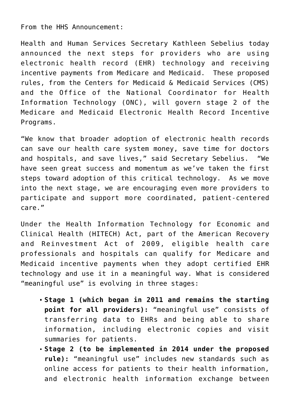From the HHS Announcement:

Health and Human Services Secretary Kathleen Sebelius today announced the next steps for providers who are using electronic health record (EHR) technology and receiving incentive payments from Medicare and Medicaid. These proposed rules, from the Centers for Medicaid & Medicaid Services (CMS) and the Office of the National Coordinator for Health Information Technology (ONC), will govern stage 2 of the Medicare and Medicaid Electronic Health Record Incentive Programs.

"We know that broader adoption of electronic health records can save our health care system money, save time for doctors and hospitals, and save lives," said Secretary Sebelius. "We have seen great success and momentum as we've taken the first steps toward adoption of this critical technology. As we move into the next stage, we are encouraging even more providers to participate and support more coordinated, patient-centered care."

Under the Health Information Technology for Economic and Clinical Health (HITECH) Act, part of the American Recovery and Reinvestment Act of 2009, eligible health care professionals and hospitals can qualify for Medicare and Medicaid incentive payments when they adopt certified EHR technology and use it in a meaningful way. What is considered "meaningful use" is evolving in three stages:

- **Stage 1 (which began in 2011 and remains the starting point for all providers):** "meaningful use" consists of transferring data to EHRs and being able to share information, including electronic copies and visit summaries for patients.
- **Stage 2 (to be implemented in 2014 under the proposed rule):** "meaningful use" includes new standards such as online access for patients to their health information, and electronic health information exchange between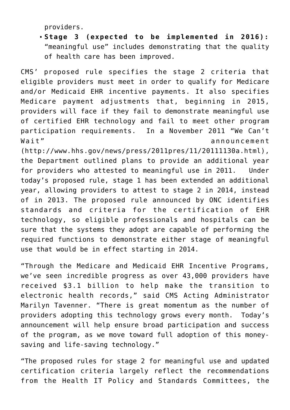providers.

**Stage 3 (expected to be implemented in 2016):** "meaningful use" includes demonstrating that the quality of health care has been improved.

CMS' proposed rule specifies the stage 2 criteria that eligible providers must meet in order to qualify for Medicare and/or Medicaid EHR incentive payments. It also specifies Medicare payment adjustments that, beginning in 2015, providers will face if they fail to demonstrate meaningful use of certified EHR technology and fail to meet other program participation requirements. In a November 2011 "We Can't Wait" announcement

([http://www.hhs.gov/news/press/2011pres/11/20111130a.html\)](http://www.hhs.gov/news/press/2011pres/11/20111130a.html), the Department outlined plans to provide an additional year for providers who attested to meaningful use in 2011. Under today's proposed rule, stage 1 has been extended an additional year, allowing providers to attest to stage 2 in 2014, instead of in 2013. The proposed rule announced by ONC identifies standards and criteria for the certification of EHR technology, so eligible professionals and hospitals can be sure that the systems they adopt are capable of performing the required functions to demonstrate either stage of meaningful use that would be in effect starting in 2014.

"Through the Medicare and Medicaid EHR Incentive Programs, we've seen incredible progress as over 43,000 providers have received \$3.1 billion to help make the transition to electronic health records," said CMS Acting Administrator Marilyn Tavenner. "There is great momentum as the number of providers adopting this technology grows every month. Today's announcement will help ensure broad participation and success of the program, as we move toward full adoption of this moneysaving and life-saving technology."

"The proposed rules for stage 2 for meaningful use and updated certification criteria largely reflect the recommendations from the Health IT Policy and Standards Committees, the